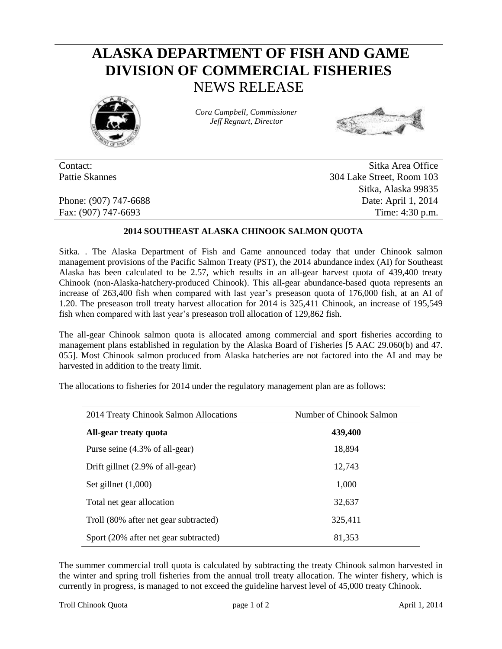## **ALASKA DEPARTMENT OF FISH AND GAME DIVISION OF COMMERCIAL FISHERIES** NEWS RELEASE



*Cora Campbell, Commissioner Jeff Regnart, Director*



Contact: Sitka Area Office Pattie Skannes 304 Lake Street, Room 103 Sitka, Alaska 99835 Phone: (907) 747-6688 Date: April 1, 2014 Fax: (907) 747-6693 Time: 4:30 p.m.

## **2014 SOUTHEAST ALASKA CHINOOK SALMON QUOTA**

Sitka. . The Alaska Department of Fish and Game announced today that under Chinook salmon management provisions of the Pacific Salmon Treaty (PST), the 2014 abundance index (AI) for Southeast Alaska has been calculated to be 2.57, which results in an all-gear harvest quota of 439,400 treaty Chinook (non-Alaska-hatchery-produced Chinook). This all-gear abundance-based quota represents an increase of 263,400 fish when compared with last year's preseason quota of 176,000 fish, at an AI of 1.20. The preseason troll treaty harvest allocation for 2014 is 325,411 Chinook, an increase of 195,549 fish when compared with last year's preseason troll allocation of 129,862 fish.

The all-gear Chinook salmon quota is allocated among commercial and sport fisheries according to management plans established in regulation by the Alaska Board of Fisheries [5 AAC 29.060(b) and 47. 055]. Most Chinook salmon produced from Alaska hatcheries are not factored into the AI and may be harvested in addition to the treaty limit.

The allocations to fisheries for 2014 under the regulatory management plan are as follows:

| 2014 Treaty Chinook Salmon Allocations | Number of Chinook Salmon |  |  |  |
|----------------------------------------|--------------------------|--|--|--|
| All-gear treaty quota                  | 439,400                  |  |  |  |
| Purse seine (4.3% of all-gear)         | 18,894                   |  |  |  |
| Drift gillnet (2.9% of all-gear)       | 12,743                   |  |  |  |
| Set gillnet $(1,000)$                  | 1,000                    |  |  |  |
| Total net gear allocation              | 32,637                   |  |  |  |
| Troll (80% after net gear subtracted)  | 325,411                  |  |  |  |
| Sport (20% after net gear subtracted)  | 81,353                   |  |  |  |

The summer commercial troll quota is calculated by subtracting the treaty Chinook salmon harvested in the winter and spring troll fisheries from the annual troll treaty allocation. The winter fishery, which is currently in progress, is managed to not exceed the guideline harvest level of 45,000 treaty Chinook.